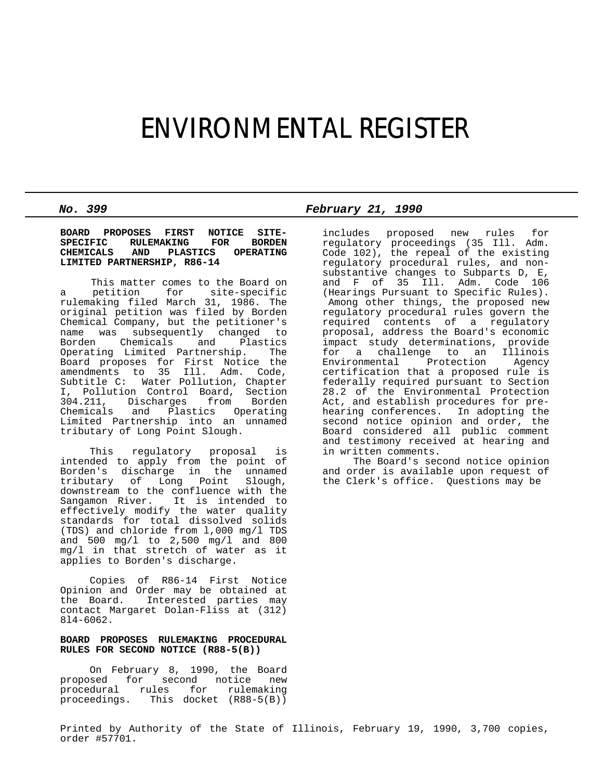# ENVIRONMENTAL REGISTER

**BOARD PROPOSES FIRST NOTICE SITE-SPECIFIC RULEMAKING FOR BORDEN CHEMICALS AND PLASTICS OPERATING LIMITED PARTNERSHIP, R86-14**

 This matter comes to the Board on a petition for site-specific rulemaking filed March 31, 1986. The original petition was filed by Borden Chemical Company, but the petitioner's name was subsequently changed to Borden Chemicals and Plastics Operating Limited Partnership. The Board proposes for First Notice the amendments to 35 Ill. Adm. Code, Subtitle C: Water Pollution, Chapter I, Pollution Control Board, Section 304.211, Discharges from Borden and Plastics Operating Limited Partnership into an unnamed tributary of Long Point Slough.

 This regulatory proposal is intended to apply from the point of Borden's discharge in the unnamed<br>tributary of Long Point Slough, tributary of Long Point downstream to the confluence with the Sangamon River. It is intended to effectively modify the water quality standards for total dissolved solids (TDS) and chloride from l,000 mg/l TDS and 500 mg/l to 2,500 mg/l and 800 mg/l in that stretch of water as it applies to Borden's discharge.

 Copies of R86-14 First Notice Opinion and Order may be obtained at the Board. Interested parties may contact Margaret Dolan-Fliss at (312) 8l4-6062.

## **BOARD PROPOSES RULEMAKING PROCEDURAL RULES FOR SECOND NOTICE (R88-5(B))**

 On February 8, 1990, the Board proposed for second notice new procedural rules for rulemaking proceedings. This docket (R88-5(B))

*No. 399 February 21, 1990*

includes proposed new rules for regulatory proceedings (35 Ill. Adm. Code 102), the repeal of the existing regulatory procedural rules, and nonsubstantive changes to Subparts D, E, and F of 35 Ill. Adm. Code 106 (Hearings Pursuant to Specific Rules). Among other things, the proposed new regulatory procedural rules govern the required contents of a regulatory proposal, address the Board's economic impact study determinations, provide for a challenge to an Illinois Environmental Protection certification that a proposed rule is federally required pursuant to Section 28.2 of the Environmental Protection Act, and establish procedures for prehearing conferences. In adopting the second notice opinion and order, the Board considered all public comment and testimony received at hearing and in written comments.

 The Board's second notice opinion and order is available upon request of the Clerk's office. Questions may be

Printed by Authority of the State of Illinois, February 19, 1990, 3,700 copies, order #57701.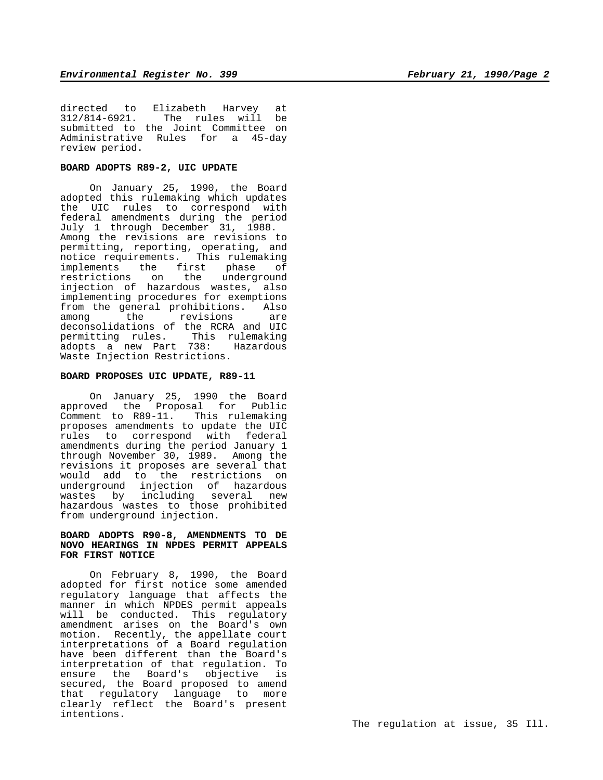directed to Elizabeth Harvey at<br>312/814-6921. The rules will be The rules will submitted to the Joint Committee on Administrative Rules for a 45-day review period.

# **BOARD ADOPTS R89-2, UIC UPDATE**

 On January 25, 1990, the Board adopted this rulemaking which updates the UIC rules to correspond with federal amendments during the period July 1 through December 31, 1988. Among the revisions are revisions to permitting, reporting, operating, and notice requirements. This rulemaking implements the first phase of restrictions on the underground injection of hazardous wastes, also implementing procedures for exemptions from the general prohibitions. Also among the revisions are deconsolidations of the RCRA and UIC permitting rules. This rulemaking adopts a new Part 738: Hazardous Waste Injection Restrictions.

#### **BOARD PROPOSES UIC UPDATE, R89-11**

 On January 25, 1990 the Board approved the Proposal for Public Comment to R89-11. This rulemaking proposes amendments to update the UIC rules to correspond with federal amendments during the period January 1 through November 30, 1989. Among the revisions it proposes are several that would add to the restrictions on underground injection of hazardous wastes by including several new hazardous wastes to those prohibited from underground injection.

#### **BOARD ADOPTS R90-8, AMENDMENTS TO DE NOVO HEARINGS IN NPDES PERMIT APPEALS FOR FIRST NOTICE**

 On February 8, 1990, the Board adopted for first notice some amended regulatory language that affects the manner in which NPDES permit appeals will be conducted. This regulatory amendment arises on the Board's own motion. Recently, the appellate court interpretations of a Board regulation have been different than the Board's interpretation of that regulation. To ensure the Board's objective is secured, the Board proposed to amend that regulatory language to more clearly reflect the Board's present intentions.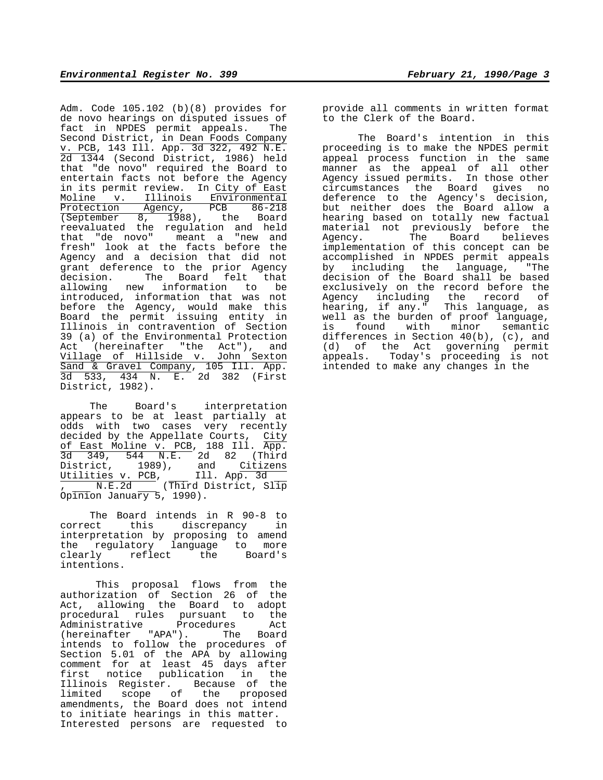Adm. Code 105.102 (b)(8) provides for de novo hearings on disputed issues of fact in NPDES permit appeals. The Second District, in Dean Foods Company v. PCB, 143 Ill. App. 3d 322, 492 N.E. 2d 1344 (Second District, 1986) held that "de novo" required the Board to entertain facts not before the Agency in its permit review. In City of East Moline v. Illinois Environmental Protection Agency, PCB 86-218 Protection Agency, PCB 86-218<br>(September 8, 1988), the Board reevaluated the regulation and held that "de novo" meant a "new and fresh" look at the facts before the Agency and a decision that did not grant deference to the prior Agency decision. The Board felt that allowing new information to be introduced, information that was not before the Agency, would make this Board the permit issuing entity in Illinois in contravention of Section 39 (a) of the Environmental Protection Act (hereinafter "the Act"), and Village of Hillside v. John Sexton Sand & Gravel Company, 105 Ill. App. 3d 533, 434 N. E. 2d 382 (First District, 1982).

 The Board's interpretation appears to be at least partially at odds with two cases very recently decided by the Appellate Courts, City of East Moline v. PCB, 188 Ill. App. 3d 349, 544 N.E. 2d 82 (Third District, 1989), and Citizens Utilities v. PCB, Ill. App. 3d , N.E.2d (Third District, Slip Opinion January  $5, 1990$ ).

 The Board intends in R 90-8 to correct this discrepancy in interpretation by proposing to amend the regulatory language to more clearly reflect the Board's intentions.

This proposal flows from the authorization of Section 26 of the Act, allowing the Board to adopt procedural rules pursuant to the Administrative Procedures Act<br>(hereinafter "APA"). The Board  $(hereinafter$   $"APA"$ ). The intends to follow the procedures of Section 5.01 of the APA by allowing comment for at least 45 days after first notice publication in the Illinois Register. Because of the limited scope of the proposed amendments, the Board does not intend to initiate hearings in this matter. Interested persons are requested to

provide all comments in written format to the Clerk of the Board.

The Board's intention in this proceeding is to make the NPDES permit appeal process function in the same manner as the appeal of all other Agency issued permits. In those other circumstances the Board gives no deference to the Agency's decision, but neither does the Board allow a hearing based on totally new factual material not previously before the Agency. The Board believes implementation of this concept can be accomplished in NPDES permit appeals by including the language, "The decision of the Board shall be based exclusively on the record before the Agency including the record of hearing, if any." This language, as well as the burden of proof language, is found with minor semantic differences in Section 40(b), (c), and (d) of the Act governing permit appeals. Today's proceeding is not intended to make any changes in the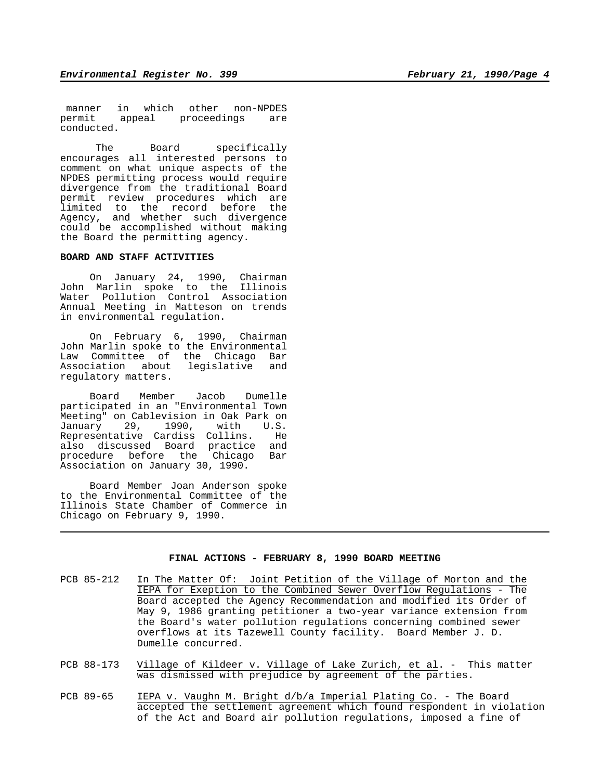manner in which other non-NPDES<br>permit appeal proceedings are appeal proceedings are conducted.

The Board specifically encourages all interested persons to comment on what unique aspects of the NPDES permitting process would require divergence from the traditional Board permit review procedures which are limited to the record before the Agency, and whether such divergence could be accomplished without making the Board the permitting agency.

### **BOARD AND STAFF ACTIVITIES**

 On January 24, 1990, Chairman John Marlin spoke to the Illinois Water Pollution Control Association Annual Meeting in Matteson on trends in environmental regulation.

 On February 6, 1990, Chairman John Marlin spoke to the Environmental Law Committee of the Chicago Bar Association about legislative and regulatory matters.

 Board Member Jacob Dumelle participated in an "Environmental Town Meeting" on Cablevision in Oak Park on January 29, 1990, with U.S. Representative Cardiss Collins. He also discussed Board practice and procedure before the Chicago Bar Association on January 30, 1990.

 Board Member Joan Anderson spoke to the Environmental Committee of the Illinois State Chamber of Commerce in Chicago on February 9, 1990.

# **FINAL ACTIONS - FEBRUARY 8, 1990 BOARD MEETING**

- PCB 85-212 In The Matter Of: Joint Petition of the Village of Morton and the IEPA for Exeption to the Combined Sewer Overflow Regulations - The Board accepted the Agency Recommendation and modified its Order of May 9, 1986 granting petitioner a two-year variance extension from the Board's water pollution regulations concerning combined sewer overflows at its Tazewell County facility. Board Member J. D. Dumelle concurred.
- PCB 88-173 Village of Kildeer v. Village of Lake Zurich, et al. This matter was dismissed with prejudice by agreement of the parties.
- PCB 89-65 IEPA v. Vaughn M. Bright d/b/a Imperial Plating Co. The Board accepted the settlement agreement which found respondent in violation of the Act and Board air pollution regulations, imposed a fine of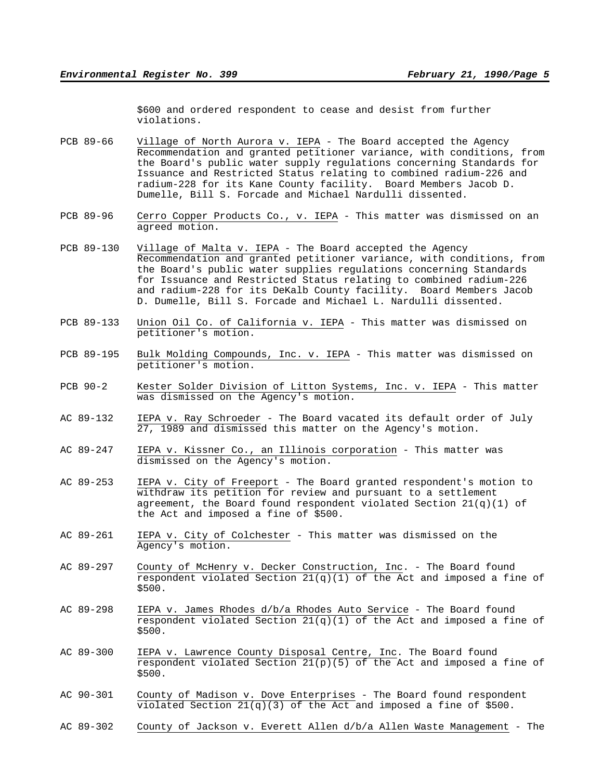\$600 and ordered respondent to cease and desist from further violations.

- PCB 89-66 Village of North Aurora v. IEPA The Board accepted the Agency Recommendation and granted petitioner variance, with conditions, from the Board's public water supply regulations concerning Standards for Issuance and Restricted Status relating to combined radium-226 and radium-228 for its Kane County facility. Board Members Jacob D. Dumelle, Bill S. Forcade and Michael Nardulli dissented.
- PCB 89-96 Cerro Copper Products Co., v. IEPA This matter was dismissed on an agreed motion.
- PCB 89-130 Village of Malta v. IEPA The Board accepted the Agency Recommendation and granted petitioner variance, with conditions, from the Board's public water supplies regulations concerning Standards for Issuance and Restricted Status relating to combined radium-226 and radium-228 for its DeKalb County facility. Board Members Jacob D. Dumelle, Bill S. Forcade and Michael L. Nardulli dissented.
- PCB 89-133 Union Oil Co. of California v. IEPA This matter was dismissed on petitioner's motion.
- PCB 89-195 Bulk Molding Compounds, Inc. v. IEPA This matter was dismissed on petitioner's motion.
- PCB 90-2 Kester Solder Division of Litton Systems, Inc. v. IEPA This matter was dismissed on the Agency's motion.
- AC 89-132 IEPA v. Ray Schroeder The Board vacated its default order of July 27, 1989 and dismissed this matter on the Agency's motion.
- AC 89-247 IEPA v. Kissner Co., an Illinois corporation This matter was dismissed on the Agency's motion.
- AC 89-253 IEPA v. City of Freeport The Board granted respondent's motion to withdraw its petition for review and pursuant to a settlement agreement, the Board found respondent violated Section  $21(q)(1)$  of the Act and imposed a fine of \$500.
- AC 89-261 IEPA v. City of Colchester This matter was dismissed on the Agency's motion.
- AC 89-297 County of McHenry v. Decker Construction, Inc. The Board found respondent violated Section  $21(q)(1)$  of the Act and imposed a fine of \$500.
- AC 89-298 IEPA v. James Rhodes d/b/a Rhodes Auto Service The Board found respondent violated Section  $21(q)(1)$  of the Act and imposed a fine of \$500.
- AC 89-300 IEPA v. Lawrence County Disposal Centre, Inc. The Board found respondent violated Section  $21(p)(5)$  of the Act and imposed a fine of \$500.
- AC 90-301 County of Madison v. Dove Enterprises The Board found respondent violated Section  $21(q)(3)$  of the Act and imposed a fine of \$500.
- AC 89-302 County of Jackson v. Everett Allen d/b/a Allen Waste Management The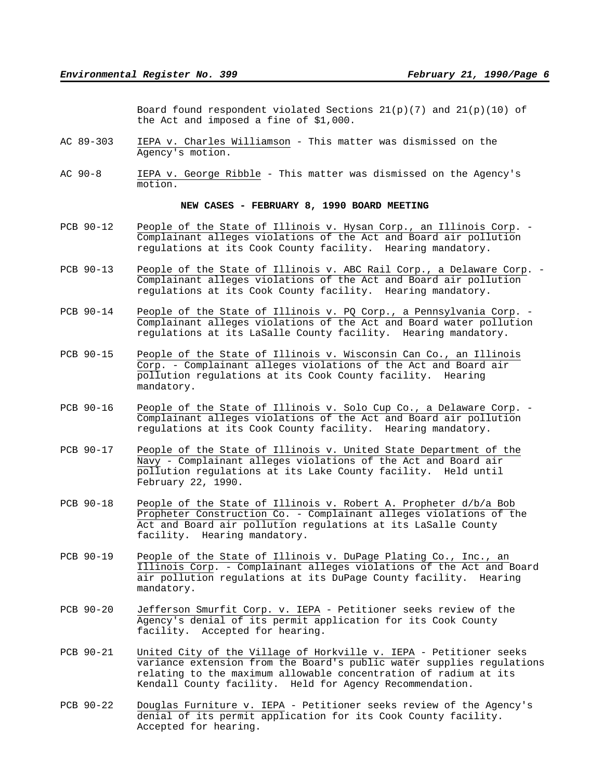Board found respondent violated Sections  $21(p)(7)$  and  $21(p)(10)$  of the Act and imposed a fine of \$1,000.

- AC 89-303 IEPA v. Charles Williamson This matter was dismissed on the Agency's motion.
- AC 90-8 IEPA v. George Ribble This matter was dismissed on the Agency's motion.

# **NEW CASES - FEBRUARY 8, 1990 BOARD MEETING**

- PCB 90-12 People of the State of Illinois v. Hysan Corp., an Illinois Corp. Complainant alleges violations of the Act and Board air pollution regulations at its Cook County facility. Hearing mandatory.
- PCB 90-13 People of the State of Illinois v. ABC Rail Corp., a Delaware Corp. Complainant alleges violations of the Act and Board air pollution regulations at its Cook County facility. Hearing mandatory.
- PCB 90-14 People of the State of Illinois v. PQ Corp., a Pennsylvania Corp. Complainant alleges violations of the Act and Board water pollution regulations at its LaSalle County facility. Hearing mandatory.
- PCB 90-15 People of the State of Illinois v. Wisconsin Can Co., an Illinois Corp. - Complainant alleges violations of the Act and Board air pollution regulations at its Cook County facility. Hearing mandatory.
- PCB 90-16 People of the State of Illinois v. Solo Cup Co., a Delaware Corp. Complainant alleges violations of the Act and Board air pollution regulations at its Cook County facility. Hearing mandatory.
- PCB 90-17 People of the State of Illinois v. United State Department of the Navy - Complainant alleges violations of the Act and Board air pollution regulations at its Lake County facility. Held until February 22, 1990.
- PCB 90-18 People of the State of Illinois v. Robert A. Propheter d/b/a Bob Propheter Construction Co. - Complainant alleges violations of the Act and Board air pollution regulations at its LaSalle County facility. Hearing mandatory.
- PCB 90-19 People of the State of Illinois v. DuPage Plating Co., Inc., an Illinois Corp. - Complainant alleges violations of the Act and Board air pollution regulations at its DuPage County facility. Hearing mandatory.
- PCB 90-20 Jefferson Smurfit Corp. v. IEPA Petitioner seeks review of the Agency's denial of its permit application for its Cook County facility. Accepted for hearing.
- PCB 90-21 United City of the Village of Horkville v. IEPA Petitioner seeks variance extension from the Board's public water supplies regulations relating to the maximum allowable concentration of radium at its Kendall County facility. Held for Agency Recommendation.
- PCB 90-22 Douglas Furniture v. IEPA Petitioner seeks review of the Agency's denial of its permit application for its Cook County facility. Accepted for hearing.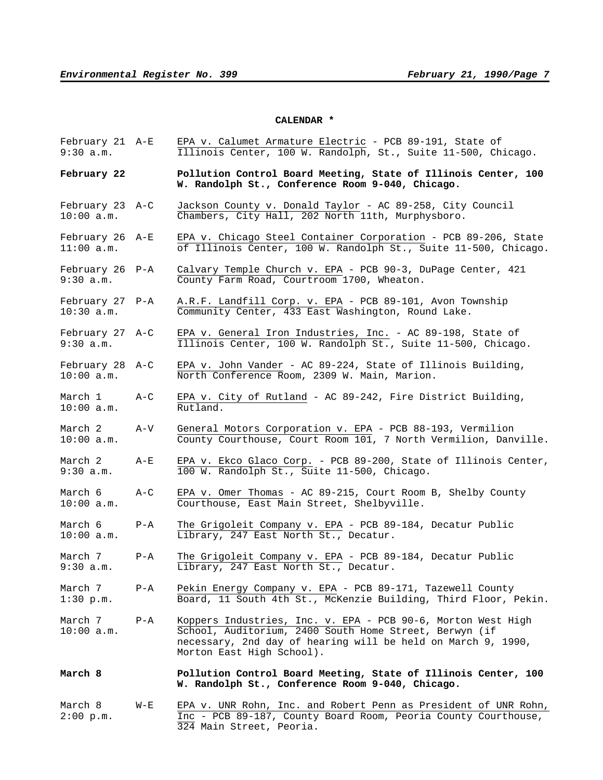#### **CALENDAR \***

- February 21 A-E EPA v. Calumet Armature Electric PCB 89-191, State of 9:30 a.m. Illinois Center, 100 W. Randolph, St., Suite 11-500, Chicago.
- **February 22 Pollution Control Board Meeting, State of Illinois Center, 100 W. Randolph St., Conference Room 9-040, Chicago.**
- February 23 A-C Jackson County v. Donald Taylor AC 89-258, City Council 10:00 a.m. Chambers, City Hall, 202 North 11th, Murphysboro.
- February 26 A-E EPA v. Chicago Steel Container Corporation PCB 89-206, State 11:00 a.m. **of Illinois Center, 100 W. Randolph St., Suite 11-500, Chicago.**
- February 26 P-A Calvary Temple Church v. EPA PCB 90-3, DuPage Center, 421 9:30 a.m. County Farm Road, Courtroom 1700, Wheaton.
- February 27 P-A A.R.F. Landfill Corp. v. EPA PCB 89-101, Avon Township 10:30 a.m. Community Center, 433 East Washington, Round Lake.
- February 27 A-C EPA v. General Iron Industries, Inc. AC 89-198, State of 9:30 a.m. Illinois Center, 100 W. Randolph St., Suite 11-500, Chicago.
- February 28 A-C EPA v. John Vander AC 89-224, State of Illinois Building, 10:00 a.m. North Conference Room, 2309 W. Main, Marion.
- March 1 A-C EPA v. City of Rutland AC 89-242, Fire District Building, 10:00 a.m. Rutland.
- March 2 A-V General Motors Corporation v. EPA PCB 88-193, Vermilion<br>10:00 a.m. County Courthouse, Court Room 101, 7 North Vermilion, Dany County Courthouse, Court Room 101, 7 North Vermilion, Danville.
- March 2 A-E EPA v. Ekco Glaco Corp. PCB 89-200, State of Illinois Center, 9:30 a.m. 100 W. Randolph St., Suite 11-500, Chicago.
- March 6 A-C EPA v. Omer Thomas AC 89-215, Court Room B, Shelby County 10:00 a.m. Courthouse, East Main Street, Shelbyville.
- March 6 P-A The Grigoleit Company v. EPA PCB 89-184, Decatur Public 10:00 a.m. Library, 247 East North St., Decatur.
- March 7 P-A The Grigoleit Company v. EPA PCB 89-184, Decatur Public 9:30 a.m. Library, 247 East North St., Decatur.
- March 7 P-A Pekin Energy Company v. EPA PCB 89-171, Tazewell County 1:30 p.m. Board, 11 South 4th St., McKenzie Building, Third Floor, Pekin.
- March 7 P-A Koppers Industries, Inc. v. EPA PCB 90-6, Morton West High 10:00 a.m. School, Auditorium, 2400 South Home Street, Berwyn (if necessary, 2nd day of hearing will be held on March 9, 1990, Morton East High School).
- **March 8 Pollution Control Board Meeting, State of Illinois Center, 100 W. Randolph St., Conference Room 9-040, Chicago.**
- March 8 W-E EPA v. UNR Rohn, Inc. and Robert Penn as President of UNR Rohn, 2:00 p.m. Inc - PCB 89-187, County Board Room, Peoria County Courthouse, 324 Main Street, Peoria.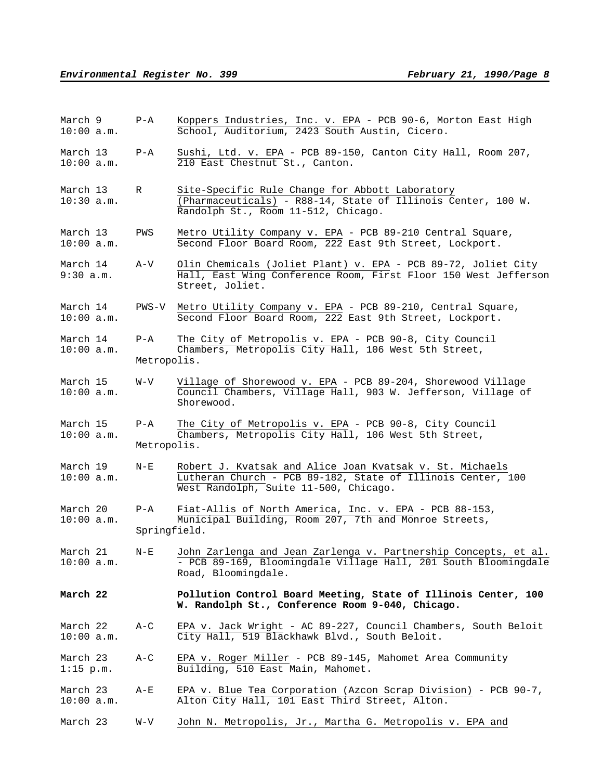| March 9<br>$10:00$ a.m.  | $P - A$                 | Koppers Industries, Inc. v. EPA - PCB 90-6, Morton East High<br>School, Auditorium, 2423 South Austin, Cicero.                                                              |
|--------------------------|-------------------------|-----------------------------------------------------------------------------------------------------------------------------------------------------------------------------|
| March 13<br>$10:00$ a.m. | $P - A$                 | Sushi, Ltd. v. EPA - PCB 89-150, Canton City Hall, Room 207,<br>210 East Chestnut St., Canton.                                                                              |
| March 13<br>$10:30$ a.m. | R                       | Site-Specific Rule Change for Abbott Laboratory<br>$\overline{(\text{Pharmaceuticals}) - R88-14}$ , State of Illinois Center, 100 W.<br>Randolph St., Room 11-512, Chicago. |
| March 13<br>10:00 a.m.   | PWS                     | Metro Utility Company v. EPA - PCB 89-210 Central Square,<br>Second Floor Board Room, 222 East 9th Street, Lockport.                                                        |
| March 14<br>9:30 a.m.    | A-V                     | Olin Chemicals (Joliet Plant) v. EPA - PCB 89-72, Joliet City<br>Hall, East Wing Conference Room, First Floor 150 West Jefferson<br>Street, Joliet.                         |
| March 14<br>10:00 a.m.   | PWS-V                   | Metro Utility Company v. EPA - PCB 89-210, Central Square,<br>Second Floor Board Room, 222 East 9th Street, Lockport.                                                       |
| March 14<br>10:00 a.m.   | $P - A$<br>Metropolis.  | The City of Metropolis v. EPA - PCB 90-8, City Council<br>Chambers, Metropolis City Hall, 106 West 5th Street,                                                              |
| March 15<br>10:00 a.m.   | W-V                     | Village of Shorewood v. EPA - PCB 89-204, Shorewood Village<br>Council Chambers, Village Hall, 903 W. Jefferson, Village of<br>Shorewood.                                   |
| March 15<br>10:00 a.m.   | $P - A$<br>Metropolis.  | The City of Metropolis v. EPA - PCB 90-8, City Council<br>Chambers, Metropolis City Hall, 106 West 5th Street,                                                              |
| March 19<br>10:00 a.m.   | $N - E$                 | Robert J. Kvatsak and Alice Joan Kvatsak v. St. Michaels<br>Lutheran Church - PCB 89-182, State of Illinois Center, 100<br>West Randolph, Suite 11-500, Chicago.            |
| March 20<br>$10:00$ a.m. | $P - A$<br>Springfield. | Fiat-Allis of North America, Inc. v. EPA - PCB 88-153,<br>Municipal Building, Room 207, 7th and Monroe Streets,                                                             |
| March 21<br>$10:00$ a.m. | $N-E$                   | John Zarlenga and Jean Zarlenga v. Partnership Concepts, et al.<br>- PCB 89-169, Bloomingdale Village Hall, 201 South Bloomingdale<br>Road, Bloomingdale.                   |
| March 22                 |                         | Pollution Control Board Meeting, State of Illinois Center, 100<br>W. Randolph St., Conference Room 9-040, Chicago.                                                          |
| March 22<br>$10:00$ a.m. | $A-C$                   | EPA v. Jack Wright - AC 89-227, Council Chambers, South Beloit<br>City Hall, 519 Blackhawk Blvd., South Beloit.                                                             |
| March 23<br>$1:15$ p.m.  | $A-C$                   | EPA v. Roger Miller - PCB 89-145, Mahomet Area Community<br>Building, 510 East Main, Mahomet.                                                                               |
| March 23<br>$10:00$ a.m. | A-E                     | EPA v. Blue Tea Corporation (Azcon Scrap Division) - PCB 90-7,<br>Alton City Hall, 101 East Third Street, Alton.                                                            |
| March 23                 | W-V                     | John N. Metropolis, Jr., Martha G. Metropolis v. EPA and                                                                                                                    |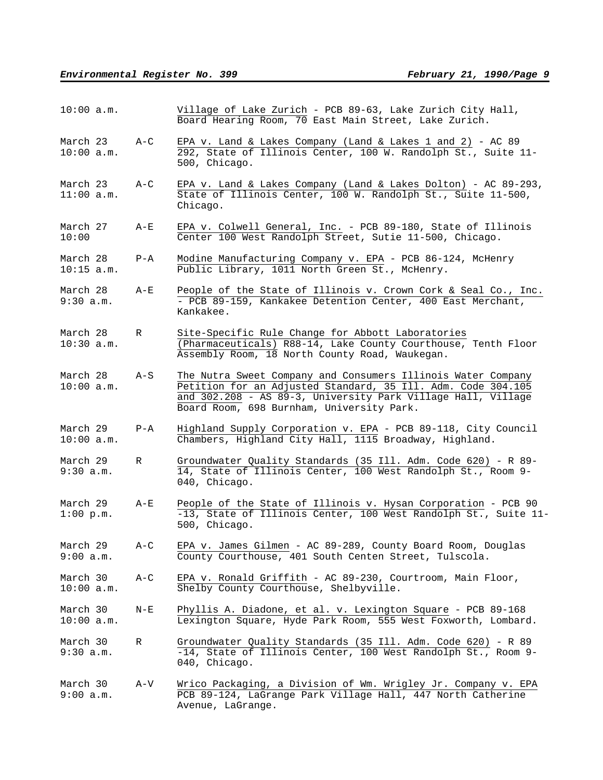| 10:00 a.m.               |         | Village of Lake Zurich - PCB 89-63, Lake Zurich City Hall,<br>Board Hearing Room, 70 East Main Street, Lake Zurich.                                                                                                                       |
|--------------------------|---------|-------------------------------------------------------------------------------------------------------------------------------------------------------------------------------------------------------------------------------------------|
| March 23<br>$10:00$ a.m. | $A-C$   | EPA v. Land & Lakes Company (Land & Lakes 1 and 2) - AC 89<br>292, State of Illinois Center, 100 W. Randolph St., Suite 11-<br>500, Chicago.                                                                                              |
| March 23<br>$11:00$ a.m. | $A-C$   | EPA v. Land & Lakes Company (Land & Lakes Dolton) - AC 89-293,<br>State of Illinois Center, 100 W. Randolph St., Suite 11-500,<br>Chicago.                                                                                                |
| March 27<br>10:00        | $A-E$   | EPA v. Colwell General, Inc. - PCB 89-180, State of Illinois<br>Center 100 West Randolph Street, Sutie 11-500, Chicago.                                                                                                                   |
| March 28<br>$10:15$ a.m. | $P - A$ | Modine Manufacturing Company v. EPA - PCB 86-124, McHenry<br>Public Library, 1011 North Green St., McHenry.                                                                                                                               |
| March 28<br>9:30 a.m.    | A-E     | People of the State of Illinois v. Crown Cork & Seal Co., Inc.<br>- PCB 89-159, Kankakee Detention Center, 400 East Merchant,<br>Kankakee.                                                                                                |
| March 28<br>$10:30$ a.m. | R       | Site-Specific Rule Change for Abbott Laboratories<br>(Pharmaceuticals) R88-14, Lake County Courthouse, Tenth Floor<br>Assembly Room, 18 North County Road, Waukegan.                                                                      |
| March 28<br>$10:00$ a.m. | $A-S$   | The Nutra Sweet Company and Consumers Illinois Water Company<br>Petition for an Adjusted Standard, 35 Ill. Adm. Code 304.105<br>and 302.208 - AS 89-3, University Park Village Hall, Village<br>Board Room, 698 Burnham, University Park. |
| March 29<br>$10:00$ a.m. | $P - A$ | Highland Supply Corporation v. EPA - PCB 89-118, City Council<br>Chambers, Highland City Hall, 1115 Broadway, Highland.                                                                                                                   |
| March 29<br>9:30 a.m.    | R       | Groundwater Quality Standards (35 Ill. Adm. Code 620) - R 89-<br>14, State of Illinois Center, 100 West Randolph St., Room 9-<br>040, Chicago.                                                                                            |
| March 29<br>$1:00$ p.m.  | $A-E$   | People of the State of Illinois v. Hysan Corporation - PCB 90<br>-13, State of Illinois Center, 100 West Randolph St., Suite 11-<br>500, Chicago.                                                                                         |
| March 29<br>9:00 a.m.    | $A-C$   | EPA v. James Gilmen - AC 89-289, County Board Room, Douglas<br>County Courthouse, 401 South Centen Street, Tulscola.                                                                                                                      |
| March 30<br>10:00 a.m.   | $A-C$   | EPA v. Ronald Griffith - AC 89-230, Courtroom, Main Floor,<br>Shelby County Courthouse, Shelbyville.                                                                                                                                      |
| March 30<br>10:00 a.m.   | $N - E$ | Phyllis A. Diadone, et al. v. Lexington Square - PCB 89-168<br>Lexington Square, Hyde Park Room, 555 West Foxworth, Lombard.                                                                                                              |
| March 30<br>9:30 a.m.    | R       | Groundwater Quality Standards (35 Ill. Adm. Code 620) - R 89<br>-14, State of Illinois Center, 100 West Randolph St., Room 9-<br>040, Chicago.                                                                                            |
| March 30<br>9:00 a.m.    | A-V     | Wrico Packaging, a Division of Wm. Wrigley Jr. Company v. EPA<br>PCB 89-124, LaGrange Park Village Hall, 447 North Catherine<br>Avenue, LaGrange.                                                                                         |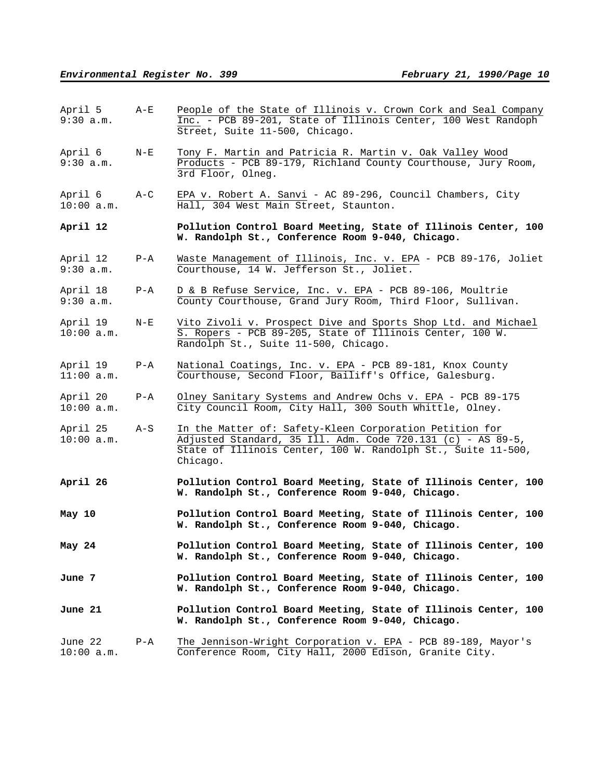| April 5<br>9:30 a.m.     | $A - E$ | People of the State of Illinois v. Crown Cork and Seal Company<br>Inc. - PCB 89-201, State of Illinois Center, 100 West Randoph<br>Street, Suite 11-500, Chicago.                                  |
|--------------------------|---------|----------------------------------------------------------------------------------------------------------------------------------------------------------------------------------------------------|
| April 6<br>9:30 a.m.     | $N - E$ | Tony F. Martin and Patricia R. Martin v. Oak Valley Wood<br>Products - PCB 89-179, Richland County Courthouse, Jury Room,<br>3rd Floor, Olneg.                                                     |
| April 6<br>$10:00$ a.m.  | $A-C$   | EPA v. Robert A. Sanvi - AC 89-296, Council Chambers, City<br>Hall, 304 West Main Street, Staunton.                                                                                                |
| April 12                 |         | Pollution Control Board Meeting, State of Illinois Center, 100<br>W. Randolph St., Conference Room 9-040, Chicago.                                                                                 |
| April 12<br>9:30 a.m.    | $P - A$ | Waste Management of Illinois, Inc. v. EPA - PCB 89-176, Joliet<br>Courthouse, 14 W. Jefferson St., Joliet.                                                                                         |
| April 18<br>9:30 a.m.    | $P - A$ | D & B Refuse Service, Inc. v. EPA - PCB 89-106, Moultrie<br>County Courthouse, Grand Jury Room, Third Floor, Sullivan.                                                                             |
| April 19<br>$10:00$ a.m. | $N-E$   | Vito Zivoli v. Prospect Dive and Sports Shop Ltd. and Michael<br>S. Ropers - PCB 89-205, State of Illinois Center, 100 W.<br>Randolph St., Suite 11-500, Chicago.                                  |
| April 19<br>$11:00$ a.m. | $P - A$ | National Coatings, Inc. v. EPA - PCB 89-181, Knox County<br>Courthouse, Second Floor, Bailiff's Office, Galesburg.                                                                                 |
| April 20<br>10:00 a.m.   | $P - A$ | Olney Sanitary Systems and Andrew Ochs v. EPA - PCB 89-175<br>City Council Room, City Hall, 300 South Whittle, Olney.                                                                              |
| April 25<br>$10:00$ a.m. | $A-S$   | In the Matter of: Safety-Kleen Corporation Petition for<br>Adjusted Standard, 35 Ill. Adm. Code 720.131 (c) - AS 89-5,<br>State of Illinois Center, 100 W. Randolph St., Suite 11-500,<br>Chicago. |
| April 26                 |         | Pollution Control Board Meeting, State of Illinois Center, 100<br>W. Randolph St., Conference Room 9-040, Chicago.                                                                                 |
| May 10                   |         | Pollution Control Board Meeting, State of Illinois Center, 100<br>W. Randolph St., Conference Room 9-040, Chicago.                                                                                 |
| May 24                   |         | Pollution Control Board Meeting, State of Illinois Center, 100<br>W. Randolph St., Conference Room 9-040, Chicago.                                                                                 |
| June 7                   |         | Pollution Control Board Meeting, State of Illinois Center, 100<br>W. Randolph St., Conference Room 9-040, Chicago.                                                                                 |
| June 21                  |         | Pollution Control Board Meeting, State of Illinois Center, 100<br>W. Randolph St., Conference Room 9-040, Chicago.                                                                                 |
| June 22<br>$10:00$ a.m.  | P-A     | The Jennison-Wright Corporation v. EPA - PCB 89-189, Mayor's<br>Conference Room, City Hall, 2000 Edison, Granite City.                                                                             |